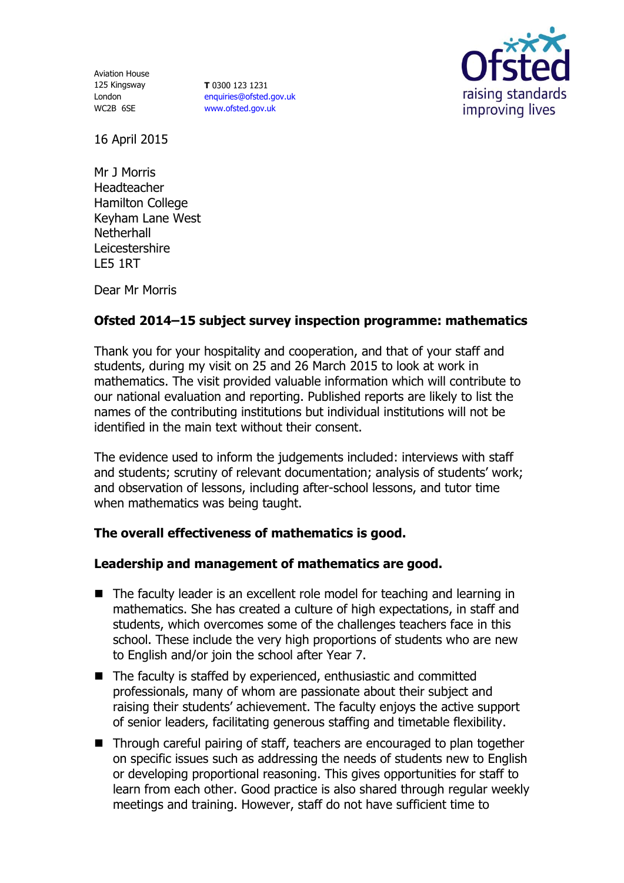Aviation House 125 Kingsway London WC2B 6SE

**T** 0300 123 1231 [enquiries@ofsted.gov.uk](mailto:enquiries@ofsted.gov.uk) [www.ofsted.gov.uk](http://www.ofsted.gov.uk/)



16 April 2015

Mr J Morris Headteacher Hamilton College Keyham Lane West **Netherhall** Leicestershire LE5 1RT

Dear Mr Morris

# **Ofsted 2014–15 subject survey inspection programme: mathematics**

Thank you for your hospitality and cooperation, and that of your staff and students, during my visit on 25 and 26 March 2015 to look at work in mathematics. The visit provided valuable information which will contribute to our national evaluation and reporting. Published reports are likely to list the names of the contributing institutions but individual institutions will not be identified in the main text without their consent.

The evidence used to inform the judgements included: interviews with staff and students; scrutiny of relevant documentation; analysis of students' work; and observation of lessons, including after-school lessons, and tutor time when mathematics was being taught.

## **The overall effectiveness of mathematics is good.**

## **Leadership and management of mathematics are good.**

- The faculty leader is an excellent role model for teaching and learning in mathematics. She has created a culture of high expectations, in staff and students, which overcomes some of the challenges teachers face in this school. These include the very high proportions of students who are new to English and/or join the school after Year 7.
- The faculty is staffed by experienced, enthusiastic and committed professionals, many of whom are passionate about their subject and raising their students' achievement. The faculty enjoys the active support of senior leaders, facilitating generous staffing and timetable flexibility.
- Through careful pairing of staff, teachers are encouraged to plan together on specific issues such as addressing the needs of students new to English or developing proportional reasoning. This gives opportunities for staff to learn from each other. Good practice is also shared through regular weekly meetings and training. However, staff do not have sufficient time to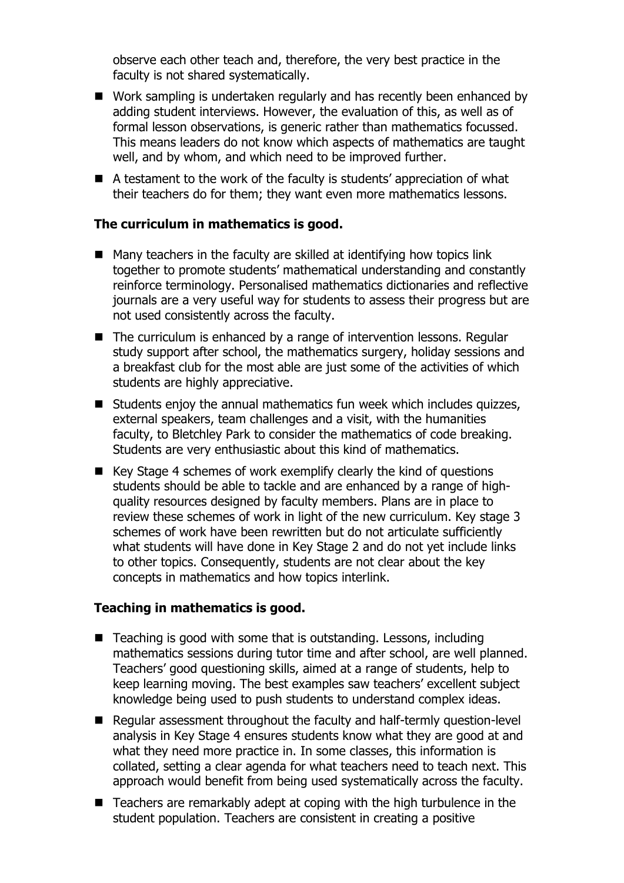observe each other teach and, therefore, the very best practice in the faculty is not shared systematically.

- Work sampling is undertaken regularly and has recently been enhanced by adding student interviews. However, the evaluation of this, as well as of formal lesson observations, is generic rather than mathematics focussed. This means leaders do not know which aspects of mathematics are taught well, and by whom, and which need to be improved further.
- A testament to the work of the faculty is students' appreciation of what their teachers do for them; they want even more mathematics lessons.

#### **The curriculum in mathematics is good.**

- $\blacksquare$  Many teachers in the faculty are skilled at identifying how topics link together to promote students' mathematical understanding and constantly reinforce terminology. Personalised mathematics dictionaries and reflective journals are a very useful way for students to assess their progress but are not used consistently across the faculty.
- $\blacksquare$  The curriculum is enhanced by a range of intervention lessons. Regular study support after school, the mathematics surgery, holiday sessions and a breakfast club for the most able are just some of the activities of which students are highly appreciative.
- $\blacksquare$  Students enjoy the annual mathematics fun week which includes quizzes, external speakers, team challenges and a visit, with the humanities faculty, to Bletchley Park to consider the mathematics of code breaking. Students are very enthusiastic about this kind of mathematics.
- $\blacksquare$  Key Stage 4 schemes of work exemplify clearly the kind of questions students should be able to tackle and are enhanced by a range of highquality resources designed by faculty members. Plans are in place to review these schemes of work in light of the new curriculum. Key stage 3 schemes of work have been rewritten but do not articulate sufficiently what students will have done in Key Stage 2 and do not yet include links to other topics. Consequently, students are not clear about the key concepts in mathematics and how topics interlink.

### **Teaching in mathematics is good.**

- Teaching is good with some that is outstanding. Lessons, including mathematics sessions during tutor time and after school, are well planned. Teachers' good questioning skills, aimed at a range of students, help to keep learning moving. The best examples saw teachers' excellent subject knowledge being used to push students to understand complex ideas.
- Regular assessment throughout the faculty and half-termly question-level analysis in Key Stage 4 ensures students know what they are good at and what they need more practice in. In some classes, this information is collated, setting a clear agenda for what teachers need to teach next. This approach would benefit from being used systematically across the faculty.
- $\blacksquare$  Teachers are remarkably adept at coping with the high turbulence in the student population. Teachers are consistent in creating a positive